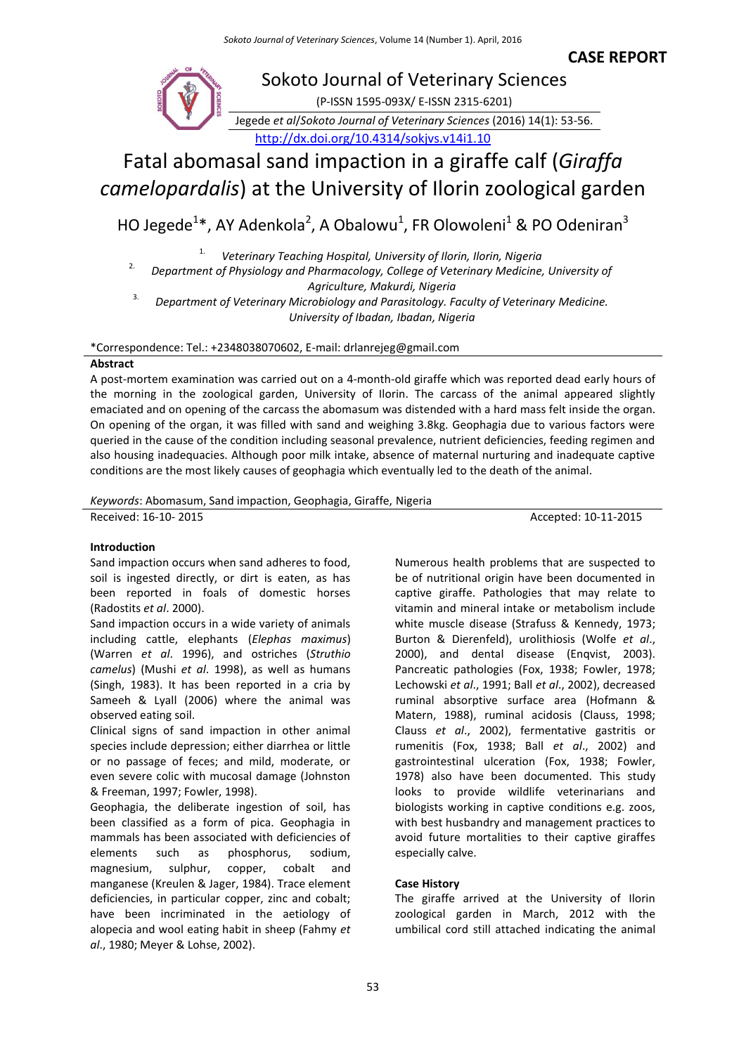**CASE REPORT**



# Fatal abomasal sand impaction in a giraffe calf (*Giraffa camelopardalis*) at the University of Ilorin zoological garden

HO Jegede<sup>1</sup>\*, AY Adenkola<sup>2</sup>, A Obalowu<sup>1</sup>, FR Olowoleni<sup>1</sup> & PO Odeniran<sup>3</sup>

1. *Veterinary Teaching Hospital, University of Ilorin, Ilorin, Nigeria*

<sup>2.</sup> Department of Physiology and Pharmacology, College of Veterinary Medicine, University of *Agriculture, Makurdi, Nigeria*

3. *Department of Veterinary Microbiology and Parasitology. Faculty of Veterinary Medicine. University of Ibadan, Ibadan, Nigeria*

\*Correspondence: Tel.: +2348038070602, E-mail: drlanrejeg@gmail.com

# **Abstract**

A post-mortem examination was carried out on a 4-month-old giraffe which was reported dead early hours of the morning in the zoological garden, University of Ilorin. The carcass of the animal appeared slightly emaciated and on opening of the carcass the abomasum was distended with a hard mass felt inside the organ. On opening of the organ, it was filled with sand and weighing 3.8kg. Geophagia due to various factors were queried in the cause of the condition including seasonal prevalence, nutrient deficiencies, feeding regimen and also housing inadequacies. Although poor milk intake, absence of maternal nurturing and inadequate captive conditions are the most likely causes of geophagia which eventually led to the death of the animal.

*Keywords*: Abomasum, Sand impaction, Geophagia, Giraffe, Nigeria

Received: 16-10-2015 **Accepted: 10-11-2015** 

# **Introduction**

Sand impaction occurs when sand adheres to food, soil is ingested directly, or dirt is eaten, as has been reported in foals of domestic horses (Radostits *et al*. 2000).

Sand impaction occurs in a wide variety of animals including cattle, elephants (*Elephas maximus*) (Warren *et al*. 1996), and ostriches (*Struthio camelus*) (Mushi *et al*. 1998), as well as humans (Singh, 1983). It has been reported in a cria by Sameeh & Lyall (2006) where the animal was observed eating soil.

Clinical signs of sand impaction in other animal species include depression; either diarrhea or little or no passage of feces; and mild, moderate, or even severe colic with mucosal damage (Johnston & Freeman, 1997; Fowler, 1998).

Geophagia, the deliberate ingestion of soil, has been classified as a form of pica. Geophagia in mammals has been associated with deficiencies of elements such as phosphorus, sodium, magnesium, sulphur, copper, cobalt and manganese (Kreulen & Jager, 1984). Trace element deficiencies, in particular copper, zinc and cobalt; have been incriminated in the aetiology of alopecia and wool eating habit in sheep (Fahmy *et al*., 1980; Meyer & Lohse, 2002).

Numerous health problems that are suspected to be of nutritional origin have been documented in captive giraffe. Pathologies that may relate to vitamin and mineral intake or metabolism include white muscle disease (Strafuss & Kennedy, 1973; Burton & Dierenfeld), urolithiosis (Wolfe *et al*., 2000), and dental disease (Enqvist, 2003). Pancreatic pathologies (Fox, 1938; Fowler, 1978; Lechowski *et al*., 1991; Ball *et al*., 2002), decreased ruminal absorptive surface area (Hofmann & Matern, 1988), ruminal acidosis (Clauss, 1998; Clauss *et al*., 2002), fermentative gastritis or rumenitis (Fox, 1938; Ball *et al*., 2002) and gastrointestinal ulceration (Fox, 1938; Fowler, 1978) also have been documented. This study looks to provide wildlife veterinarians and biologists working in captive conditions e.g. zoos, with best husbandry and management practices to avoid future mortalities to their captive giraffes especially calve.

# **Case History**

The giraffe arrived at the University of Ilorin zoological garden in March, 2012 with the umbilical cord still attached indicating the animal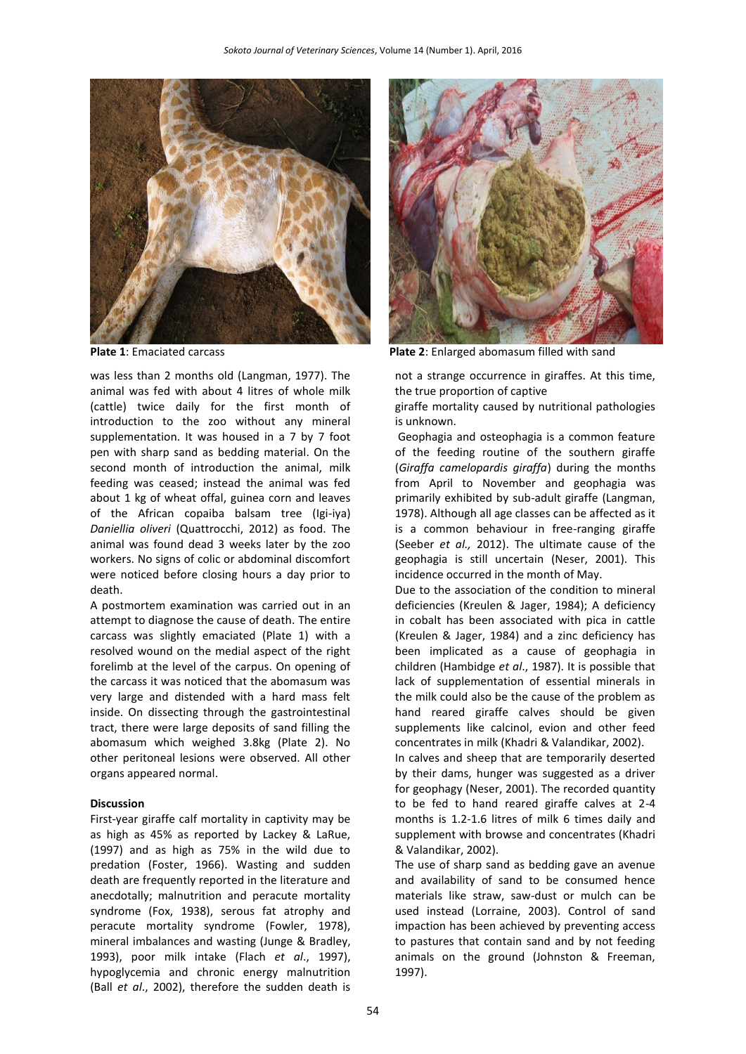

was less than 2 months old (Langman, 1977). The animal was fed with about 4 litres of whole milk (cattle) twice daily for the first month of introduction to the zoo without any mineral supplementation. It was housed in a 7 by 7 foot pen with sharp sand as bedding material. On the second month of introduction the animal, milk feeding was ceased; instead the animal was fed about 1 kg of wheat offal, guinea corn and leaves of the African copaiba balsam tree (Igi-iya) *Daniellia oliveri* (Quattrocchi, 2012) as food. The animal was found dead 3 weeks later by the zoo workers. No signs of colic or abdominal discomfort were noticed before closing hours a day prior to death.

A postmortem examination was carried out in an attempt to diagnose the cause of death. The entire carcass was slightly emaciated (Plate 1) with a resolved wound on the medial aspect of the right forelimb at the level of the carpus. On opening of the carcass it was noticed that the abomasum was very large and distended with a hard mass felt inside. On dissecting through the gastrointestinal tract, there were large deposits of sand filling the abomasum which weighed 3.8kg (Plate 2). No other peritoneal lesions were observed. All other organs appeared normal.

#### **Discussion**

First-year giraffe calf mortality in captivity may be as high as 45% as reported by Lackey & LaRue, (1997) and as high as 75% in the wild due to predation (Foster, 1966). Wasting and sudden death are frequently reported in the literature and anecdotally; malnutrition and peracute mortality syndrome (Fox, 1938), serous fat atrophy and peracute mortality syndrome (Fowler, 1978), mineral imbalances and wasting (Junge & Bradley, 1993), poor milk intake (Flach *et al*., 1997), hypoglycemia and chronic energy malnutrition (Ball *et al*., 2002), therefore the sudden death is



**Plate 1**: Emaciated carcass **Plate 2**: Enlarged abomasum filled with sand

not a strange occurrence in giraffes. At this time, the true proportion of captive

giraffe mortality caused by nutritional pathologies is unknown.

Geophagia and osteophagia is a common feature of the feeding routine of the southern giraffe (*Giraffa camelopardis giraffa*) during the months from April to November and geophagia was primarily exhibited by sub-adult giraffe (Langman, 1978). Although all age classes can be affected as it is a common behaviour in free-ranging giraffe (Seeber *et al.,* 2012). The ultimate cause of the geophagia is still uncertain (Neser, 2001). This incidence occurred in the month of May.

Due to the association of the condition to mineral deficiencies (Kreulen & Jager, 1984); A deficiency in cobalt has been associated with pica in cattle (Kreulen & Jager, 1984) and a zinc deficiency has been implicated as a cause of geophagia in children (Hambidge *et al*., 1987). It is possible that lack of supplementation of essential minerals in the milk could also be the cause of the problem as hand reared giraffe calves should be given supplements like calcinol, evion and other feed concentrates in milk (Khadri & Valandikar, 2002).

In calves and sheep that are temporarily deserted by their dams, hunger was suggested as a driver for geophagy (Neser, 2001). The recorded quantity to be fed to hand reared giraffe calves at 2-4 months is 1.2-1.6 litres of milk 6 times daily and supplement with browse and concentrates (Khadri & Valandikar, 2002).

The use of sharp sand as bedding gave an avenue and availability of sand to be consumed hence materials like straw, saw-dust or mulch can be used instead (Lorraine, 2003). Control of sand impaction has been achieved by preventing access to pastures that contain sand and by not feeding animals on the ground (Johnston & Freeman, 1997).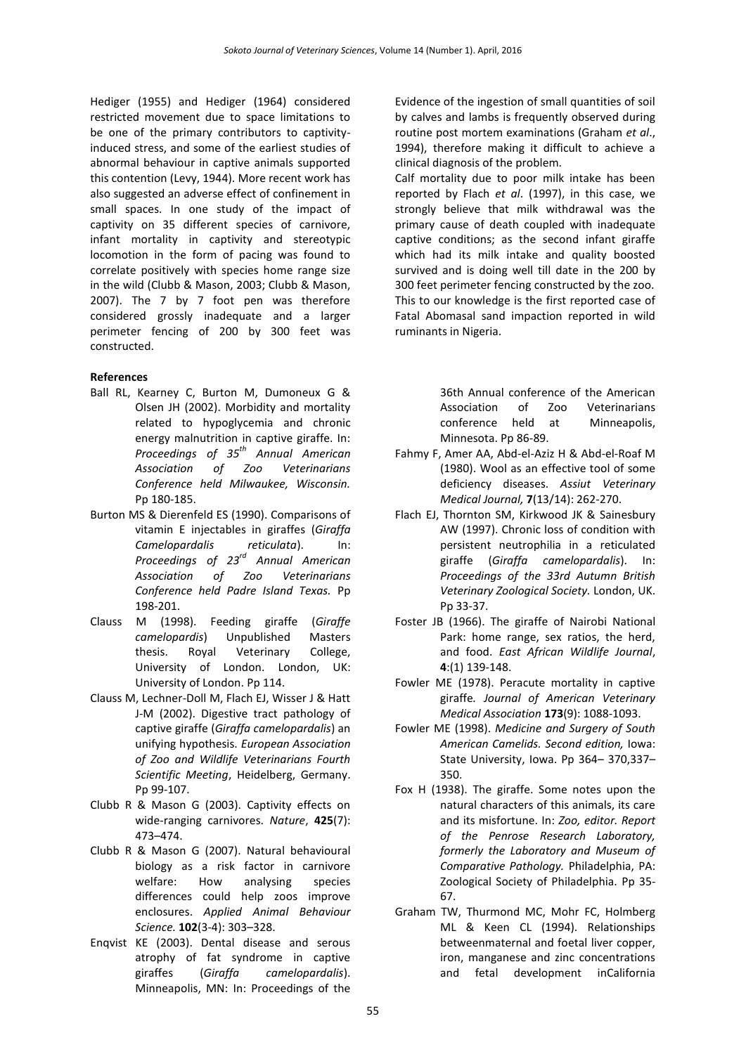Hediger (1955) and Hediger (1964) considered restricted movement due to space limitations to be one of the primary contributors to captivityinduced stress, and some of the earliest studies of abnormal behaviour in captive animals supported this contention (Levy, 1944). More recent work has also suggested an adverse effect of confinement in small spaces. In one study of the impact of captivity on 35 different species of carnivore, infant mortality in captivity and stereotypic locomotion in the form of pacing was found to correlate positively with species home range size in the wild (Clubb & Mason, 2003; Clubb & Mason, 2007). The 7 by 7 foot pen was therefore considered grossly inadequate and a larger perimeter fencing of 200 by 300 feet was constructed.

# **References**

- Ball RL, Kearney C, Burton M, Dumoneux G & Olsen JH (2002). Morbidity and mortality related to hypoglycemia and chronic energy malnutrition in captive giraffe. In: *Proceedings of 35th Annual American Association of Zoo Veterinarians Conference held Milwaukee, Wisconsin.* Pp 180-185.
- Burton MS & Dierenfeld ES (1990). Comparisons of vitamin E injectables in giraffes (*Giraffa Camelopardalis reticulata*). In: *Proceedings of 23rd Annual American Association of Zoo Veterinarians Conference held Padre Island Texas.* Pp 198-201.
- Clauss M (1998). Feeding giraffe (*Giraffe camelopardis*) Unpublished Masters thesis. Royal Veterinary College, University of London. London, UK: University of London. Pp 114.
- Clauss M, Lechner-Doll M, Flach EJ, Wisser J & Hatt J-M (2002). Digestive tract pathology of captive giraffe (*Giraffa camelopardalis*) an unifying hypothesis. *European Association of Zoo and Wildlife Veterinarians Fourth Scientific Meeting*, Heidelberg, Germany. Pp 99-107.
- Clubb R & Mason G (2003). Captivity effects on wide-ranging carnivores. *Nature*, **425**(7): 473–474.
- Clubb R & Mason G (2007). Natural behavioural biology as a risk factor in carnivore welfare: How analysing species differences could help zoos improve enclosures. *Applied Animal Behaviour Science.* **102**(3-4): 303–328.
- Enqvist KE (2003). Dental disease and serous atrophy of fat syndrome in captive giraffes (*Giraffa camelopardalis*). Minneapolis, MN: In: Proceedings of the

Evidence of the ingestion of small quantities of soil by calves and lambs is frequently observed during routine post mortem examinations (Graham *et al*., 1994), therefore making it difficult to achieve a clinical diagnosis of the problem.

Calf mortality due to poor milk intake has been reported by Flach *et al*. (1997), in this case, we strongly believe that milk withdrawal was the primary cause of death coupled with inadequate captive conditions; as the second infant giraffe which had its milk intake and quality boosted survived and is doing well till date in the 200 by 300 feet perimeter fencing constructed by the zoo. This to our knowledge is the first reported case of Fatal Abomasal sand impaction reported in wild ruminants in Nigeria.

> 36th Annual conference of the American Association of Zoo Veterinarians conference held at Minneapolis, Minnesota. Pp 86-89.

- Fahmy F, Amer AA, Abd-el-Aziz H & Abd-el-Roaf M (1980). Wool as an effective tool of some deficiency diseases. *Assiut Veterinary Medical Journal,* **7**(13/14): 262-270.
- Flach EJ, Thornton SM, Kirkwood JK & Sainesbury AW (1997). Chronic loss of condition with persistent neutrophilia in a reticulated giraffe (*Giraffa camelopardalis*). In: *Proceedings of the 33rd Autumn British Veterinary Zoological Society.* London, UK. Pp 33-37.
- Foster JB (1966). The giraffe of Nairobi National Park: home range, sex ratios, the herd, and food. *East African Wildlife Journal*, **4**:(1) 139-148.
- Fowler ME (1978). Peracute mortality in captive giraffe*. Journal of American Veterinary Medical Association* **173**(9): 1088-1093.
- Fowler ME (1998). *Medicine and Surgery of South American Camelids. Second edition,* Iowa: State University, Iowa. Pp 364– 370,337– 350.
- Fox H (1938). The giraffe. Some notes upon the natural characters of this animals, its care and its misfortune. In: *Zoo, editor. Report of the Penrose Research Laboratory, formerly the Laboratory and Museum of Comparative Pathology.* Philadelphia, PA: Zoological Society of Philadelphia. Pp 35- 67.
- Graham TW, Thurmond MC, Mohr FC, Holmberg ML & Keen CL (1994). Relationships betweenmaternal and foetal liver copper, iron, manganese and zinc concentrations and fetal development inCalifornia